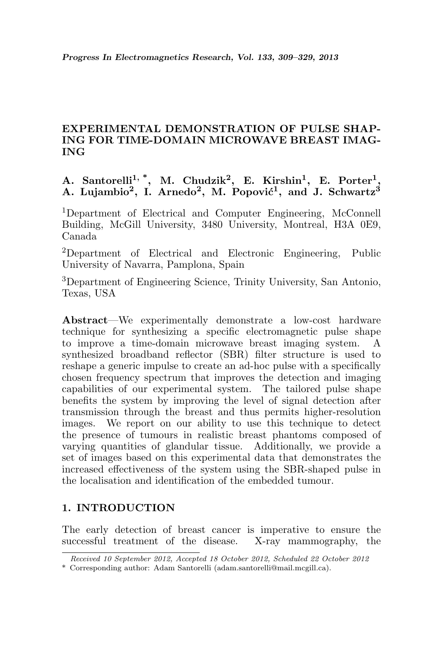## EXPERIMENTAL DEMONSTRATION OF PULSE SHAP-ING FOR TIME-DOMAIN MICROWAVE BREAST IMAG-ING

A. Santorelli<sup>1, \*</sup>, M. Chudzik<sup>2</sup>, E. Kirshin<sup>1</sup>, E. Porter<sup>1</sup>, A. Lujambio<sup>2</sup>, I. Arnedo<sup>2</sup>, M. Popović<sup>1</sup>, and J. Schwartz<sup>3</sup>

<sup>1</sup>Department of Electrical and Computer Engineering, McConnell Building, McGill University, 3480 University, Montreal, H3A 0E9, Canada

<sup>2</sup>Department of Electrical and Electronic Engineering, Public University of Navarra, Pamplona, Spain

<sup>3</sup>Department of Engineering Science, Trinity University, San Antonio, Texas, USA

Abstract—We experimentally demonstrate a low-cost hardware technique for synthesizing a specific electromagnetic pulse shape to improve a time-domain microwave breast imaging system. A synthesized broadband reflector (SBR) filter structure is used to reshape a generic impulse to create an ad-hoc pulse with a specifically chosen frequency spectrum that improves the detection and imaging capabilities of our experimental system. The tailored pulse shape benefits the system by improving the level of signal detection after transmission through the breast and thus permits higher-resolution images. We report on our ability to use this technique to detect the presence of tumours in realistic breast phantoms composed of varying quantities of glandular tissue. Additionally, we provide a set of images based on this experimental data that demonstrates the increased effectiveness of the system using the SBR-shaped pulse in the localisation and identification of the embedded tumour.

# 1. INTRODUCTION

The early detection of breast cancer is imperative to ensure the successful treatment of the disease. X-ray mammography, the

Received 10 September 2012, Accepted 18 October 2012, Scheduled 22 October 2012

<sup>\*</sup> Corresponding author: Adam Santorelli (adam.santorelli@mail.mcgill.ca).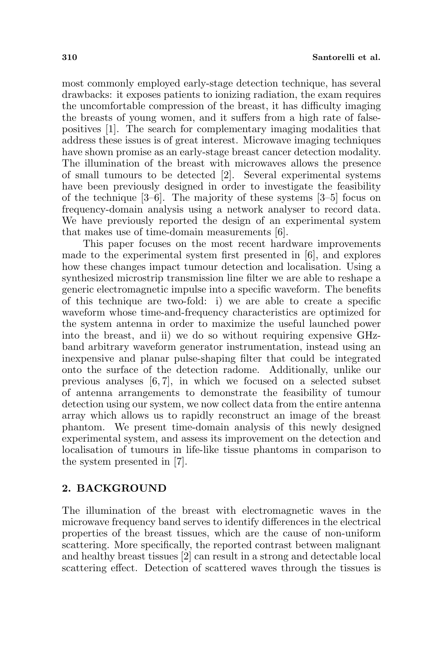most commonly employed early-stage detection technique, has several drawbacks: it exposes patients to ionizing radiation, the exam requires the uncomfortable compression of the breast, it has difficulty imaging the breasts of young women, and it suffers from a high rate of falsepositives [1]. The search for complementary imaging modalities that address these issues is of great interest. Microwave imaging techniques have shown promise as an early-stage breast cancer detection modality. The illumination of the breast with microwaves allows the presence of small tumours to be detected [2]. Several experimental systems have been previously designed in order to investigate the feasibility of the technique [3–6]. The majority of these systems [3–5] focus on frequency-domain analysis using a network analyser to record data. We have previously reported the design of an experimental system that makes use of time-domain measurements [6].

This paper focuses on the most recent hardware improvements made to the experimental system first presented in [6], and explores how these changes impact tumour detection and localisation. Using a synthesized microstrip transmission line filter we are able to reshape a generic electromagnetic impulse into a specific waveform. The benefits of this technique are two-fold: i) we are able to create a specific waveform whose time-and-frequency characteristics are optimized for the system antenna in order to maximize the useful launched power into the breast, and ii) we do so without requiring expensive GHzband arbitrary waveform generator instrumentation, instead using an inexpensive and planar pulse-shaping filter that could be integrated onto the surface of the detection radome. Additionally, unlike our previous analyses [6, 7], in which we focused on a selected subset of antenna arrangements to demonstrate the feasibility of tumour detection using our system, we now collect data from the entire antenna array which allows us to rapidly reconstruct an image of the breast phantom. We present time-domain analysis of this newly designed experimental system, and assess its improvement on the detection and localisation of tumours in life-like tissue phantoms in comparison to the system presented in [7].

### 2. BACKGROUND

The illumination of the breast with electromagnetic waves in the microwave frequency band serves to identify differences in the electrical properties of the breast tissues, which are the cause of non-uniform scattering. More specifically, the reported contrast between malignant and healthy breast tissues [2] can result in a strong and detectable local scattering effect. Detection of scattered waves through the tissues is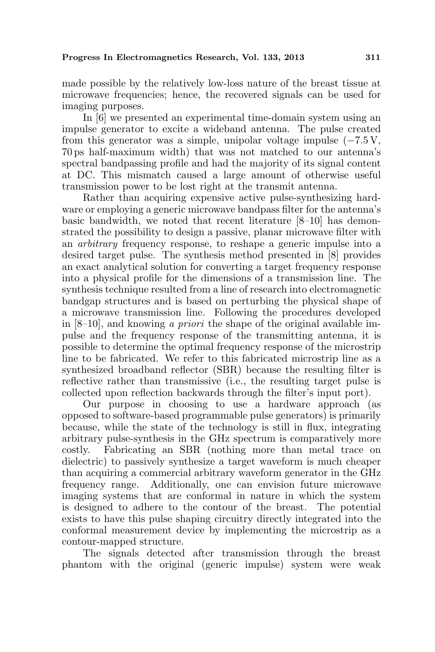made possible by the relatively low-loss nature of the breast tissue at microwave frequencies; hence, the recovered signals can be used for imaging purposes.

In [6] we presented an experimental time-domain system using an impulse generator to excite a wideband antenna. The pulse created from this generator was a simple, unipolar voltage impulse  $(-7.5 V,$ 70 ps half-maximum width) that was not matched to our antenna's spectral bandpassing profile and had the majority of its signal content at DC. This mismatch caused a large amount of otherwise useful transmission power to be lost right at the transmit antenna.

Rather than acquiring expensive active pulse-synthesizing hardware or employing a generic microwave bandpass filter for the antenna's basic bandwidth, we noted that recent literature [8–10] has demonstrated the possibility to design a passive, planar microwave filter with an arbitrary frequency response, to reshape a generic impulse into a desired target pulse. The synthesis method presented in [8] provides an exact analytical solution for converting a target frequency response into a physical profile for the dimensions of a transmission line. The synthesis technique resulted from a line of research into electromagnetic bandgap structures and is based on perturbing the physical shape of a microwave transmission line. Following the procedures developed in [8–10], and knowing a priori the shape of the original available impulse and the frequency response of the transmitting antenna, it is possible to determine the optimal frequency response of the microstrip line to be fabricated. We refer to this fabricated microstrip line as a synthesized broadband reflector (SBR) because the resulting filter is reflective rather than transmissive (i.e., the resulting target pulse is collected upon reflection backwards through the filter's input port).

Our purpose in choosing to use a hardware approach (as opposed to software-based programmable pulse generators) is primarily because, while the state of the technology is still in flux, integrating arbitrary pulse-synthesis in the GHz spectrum is comparatively more costly. Fabricating an SBR (nothing more than metal trace on dielectric) to passively synthesize a target waveform is much cheaper than acquiring a commercial arbitrary waveform generator in the GHz frequency range. Additionally, one can envision future microwave imaging systems that are conformal in nature in which the system is designed to adhere to the contour of the breast. The potential exists to have this pulse shaping circuitry directly integrated into the conformal measurement device by implementing the microstrip as a contour-mapped structure.

The signals detected after transmission through the breast phantom with the original (generic impulse) system were weak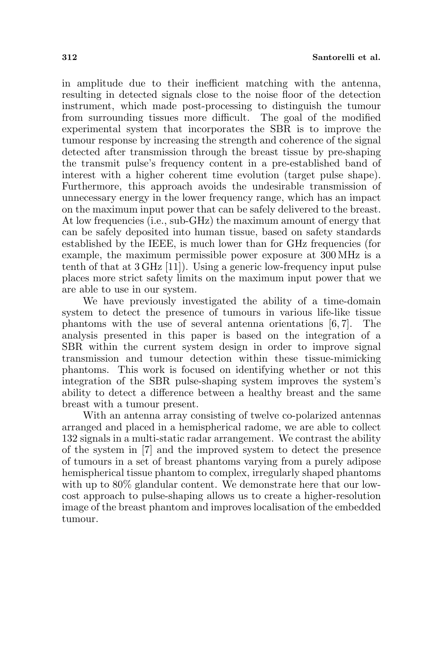in amplitude due to their inefficient matching with the antenna, resulting in detected signals close to the noise floor of the detection instrument, which made post-processing to distinguish the tumour from surrounding tissues more difficult. The goal of the modified experimental system that incorporates the SBR is to improve the tumour response by increasing the strength and coherence of the signal detected after transmission through the breast tissue by pre-shaping the transmit pulse's frequency content in a pre-established band of interest with a higher coherent time evolution (target pulse shape). Furthermore, this approach avoids the undesirable transmission of unnecessary energy in the lower frequency range, which has an impact on the maximum input power that can be safely delivered to the breast. At low frequencies (i.e., sub-GHz) the maximum amount of energy that can be safely deposited into human tissue, based on safety standards established by the IEEE, is much lower than for GHz frequencies (for example, the maximum permissible power exposure at 300 MHz is a tenth of that at 3 GHz [11]). Using a generic low-frequency input pulse places more strict safety limits on the maximum input power that we are able to use in our system.

We have previously investigated the ability of a time-domain system to detect the presence of tumours in various life-like tissue phantoms with the use of several antenna orientations [6, 7]. The analysis presented in this paper is based on the integration of a SBR within the current system design in order to improve signal transmission and tumour detection within these tissue-mimicking phantoms. This work is focused on identifying whether or not this integration of the SBR pulse-shaping system improves the system's ability to detect a difference between a healthy breast and the same breast with a tumour present.

With an antenna array consisting of twelve co-polarized antennas arranged and placed in a hemispherical radome, we are able to collect 132 signals in a multi-static radar arrangement. We contrast the ability of the system in [7] and the improved system to detect the presence of tumours in a set of breast phantoms varying from a purely adipose hemispherical tissue phantom to complex, irregularly shaped phantoms with up to 80% glandular content. We demonstrate here that our lowcost approach to pulse-shaping allows us to create a higher-resolution image of the breast phantom and improves localisation of the embedded tumour.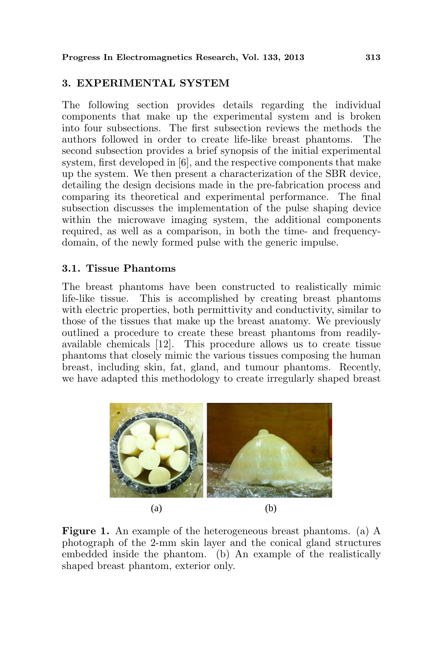# 3. EXPERIMENTAL SYSTEM

The following section provides details regarding the individual components that make up the experimental system and is broken into four subsections. The first subsection reviews the methods the authors followed in order to create life-like breast phantoms. The second subsection provides a brief synopsis of the initial experimental system, first developed in [6], and the respective components that make up the system. We then present a characterization of the SBR device, detailing the design decisions made in the pre-fabrication process and comparing its theoretical and experimental performance. The final subsection discusses the implementation of the pulse shaping device within the microwave imaging system, the additional components required, as well as a comparison, in both the time- and frequencydomain, of the newly formed pulse with the generic impulse.

### 3.1. Tissue Phantoms

The breast phantoms have been constructed to realistically mimic life-like tissue. This is accomplished by creating breast phantoms with electric properties, both permittivity and conductivity, similar to those of the tissues that make up the breast anatomy. We previously outlined a procedure to create these breast phantoms from readilyavailable chemicals [12]. This procedure allows us to create tissue phantoms that closely mimic the various tissues composing the human breast, including skin, fat, gland, and tumour phantoms. Recently, we have adapted this methodology to create irregularly shaped breast



Figure 1. An example of the heterogeneous breast phantoms. (a) A photograph of the 2-mm skin layer and the conical gland structures embedded inside the phantom. (b) An example of the realistically shaped breast phantom, exterior only.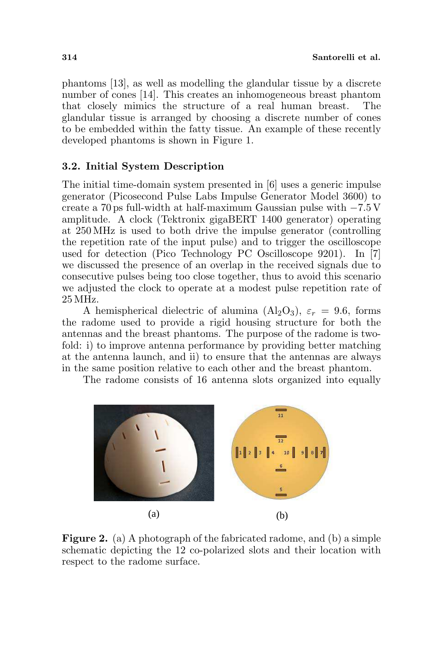phantoms [13], as well as modelling the glandular tissue by a discrete number of cones [14]. This creates an inhomogeneous breast phantom that closely mimics the structure of a real human breast. The glandular tissue is arranged by choosing a discrete number of cones to be embedded within the fatty tissue. An example of these recently developed phantoms is shown in Figure 1.

## 3.2. Initial System Description

The initial time-domain system presented in [6] uses a generic impulse generator (Picosecond Pulse Labs Impulse Generator Model 3600) to create a 70 ps full-width at half-maximum Gaussian pulse with −7.5 V amplitude. A clock (Tektronix gigaBERT 1400 generator) operating at 250 MHz is used to both drive the impulse generator (controlling the repetition rate of the input pulse) and to trigger the oscilloscope used for detection (Pico Technology PC Oscilloscope 9201). In [7] we discussed the presence of an overlap in the received signals due to consecutive pulses being too close together, thus to avoid this scenario we adjusted the clock to operate at a modest pulse repetition rate of 25 MHz.

A hemispherical dielectric of alumina  $(Al_2O_3)$ ,  $\varepsilon_r = 9.6$ , forms the radome used to provide a rigid housing structure for both the antennas and the breast phantoms. The purpose of the radome is twofold: i) to improve antenna performance by providing better matching at the antenna launch, and ii) to ensure that the antennas are always in the same position relative to each other and the breast phantom.

The radome consists of 16 antenna slots organized into equally



Figure 2. (a) A photograph of the fabricated radome, and (b) a simple schematic depicting the 12 co-polarized slots and their location with respect to the radome surface.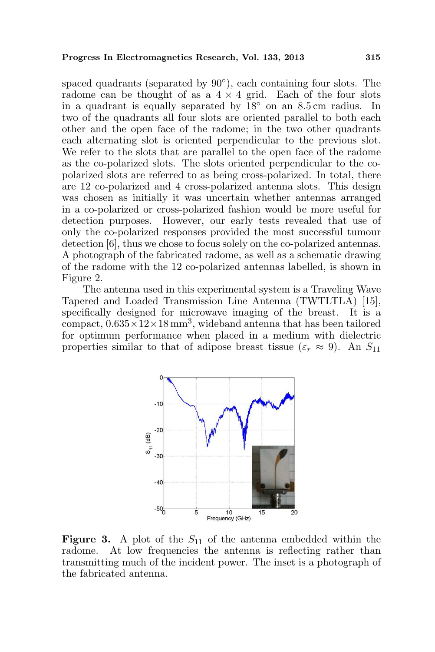spaced quadrants (separated by 90<sup>°</sup>), each containing four slots. The radome can be thought of as a  $4 \times 4$  grid. Each of the four slots in a quadrant is equally separated by  $18°$  on an  $8.5 \text{ cm}$  radius. In two of the quadrants all four slots are oriented parallel to both each other and the open face of the radome; in the two other quadrants each alternating slot is oriented perpendicular to the previous slot. We refer to the slots that are parallel to the open face of the radome as the co-polarized slots. The slots oriented perpendicular to the copolarized slots are referred to as being cross-polarized. In total, there are 12 co-polarized and 4 cross-polarized antenna slots. This design was chosen as initially it was uncertain whether antennas arranged in a co-polarized or cross-polarized fashion would be more useful for detection purposes. However, our early tests revealed that use of only the co-polarized responses provided the most successful tumour detection [6], thus we chose to focus solely on the co-polarized antennas. A photograph of the fabricated radome, as well as a schematic drawing of the radome with the 12 co-polarized antennas labelled, is shown in Figure 2.

The antenna used in this experimental system is a Traveling Wave Tapered and Loaded Transmission Line Antenna (TWTLTLA) [15], specifically designed for microwave imaging of the breast. It is a compact,  $0.635 \times 12 \times 18$  mm<sup>3</sup>, wideband antenna that has been tailored for optimum performance when placed in a medium with dielectric properties similar to that of adipose breast tissue ( $\varepsilon_r \approx 9$ ). An  $S_{11}$ 



**Figure 3.** A plot of the  $S_{11}$  of the antenna embedded within the radome. At low frequencies the antenna is reflecting rather than transmitting much of the incident power. The inset is a photograph of the fabricated antenna.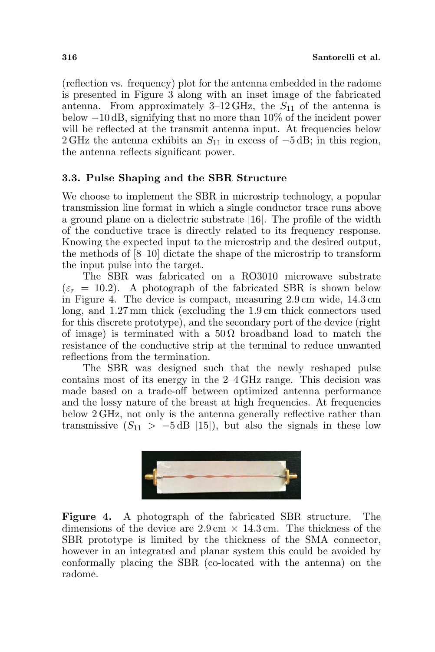316 Santorelli et al.

(reflection vs. frequency) plot for the antenna embedded in the radome is presented in Figure 3 along with an inset image of the fabricated antenna. From approximately 3–12 GHz, the  $S_{11}$  of the antenna is below −10 dB, signifying that no more than 10% of the incident power will be reflected at the transmit antenna input. At frequencies below 2 GHz the antenna exhibits an  $S_{11}$  in excess of  $-5$  dB; in this region, the antenna reflects significant power.

## 3.3. Pulse Shaping and the SBR Structure

We choose to implement the SBR in microstrip technology, a popular transmission line format in which a single conductor trace runs above a ground plane on a dielectric substrate [16]. The profile of the width of the conductive trace is directly related to its frequency response. Knowing the expected input to the microstrip and the desired output, the methods of [8–10] dictate the shape of the microstrip to transform the input pulse into the target.

The SBR was fabricated on a RO3010 microwave substrate  $(\varepsilon_r = 10.2)$ . A photograph of the fabricated SBR is shown below in Figure 4. The device is compact, measuring 2.9 cm wide, 14.3 cm long, and 1.27 mm thick (excluding the 1.9 cm thick connectors used for this discrete prototype), and the secondary port of the device (right of image) is terminated with a  $50\Omega$  broadband load to match the resistance of the conductive strip at the terminal to reduce unwanted reflections from the termination.

The SBR was designed such that the newly reshaped pulse contains most of its energy in the 2–4 GHz range. This decision was made based on a trade-off between optimized antenna performance and the lossy nature of the breast at high frequencies. At frequencies below 2 GHz, not only is the antenna generally reflective rather than transmissive  $(S_{11} > -5 \text{ dB} [15])$ , but also the signals in these low



Figure 4. A photograph of the fabricated SBR structure. The dimensions of the device are  $2.9 \text{ cm} \times 14.3 \text{ cm}$ . The thickness of the SBR prototype is limited by the thickness of the SMA connector, however in an integrated and planar system this could be avoided by conformally placing the SBR (co-located with the antenna) on the radome.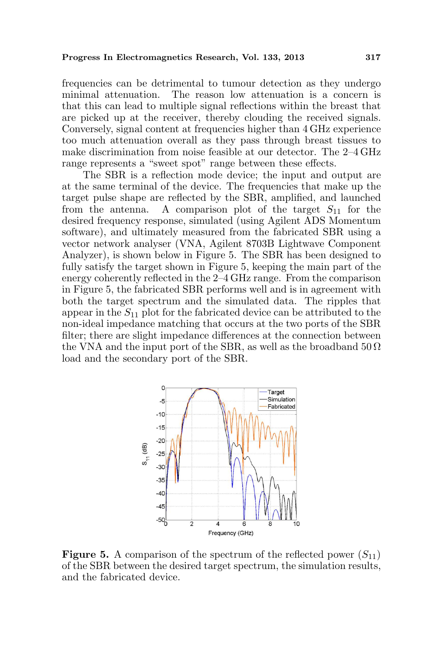frequencies can be detrimental to tumour detection as they undergo minimal attenuation. The reason low attenuation is a concern is that this can lead to multiple signal reflections within the breast that are picked up at the receiver, thereby clouding the received signals. Conversely, signal content at frequencies higher than 4 GHz experience too much attenuation overall as they pass through breast tissues to make discrimination from noise feasible at our detector. The 2–4 GHz range represents a "sweet spot" range between these effects.

The SBR is a reflection mode device; the input and output are at the same terminal of the device. The frequencies that make up the target pulse shape are reflected by the SBR, amplified, and launched from the antenna. A comparison plot of the target  $S_{11}$  for the desired frequency response, simulated (using Agilent ADS Momentum software), and ultimately measured from the fabricated SBR using a vector network analyser (VNA, Agilent 8703B Lightwave Component Analyzer), is shown below in Figure 5. The SBR has been designed to fully satisfy the target shown in Figure 5, keeping the main part of the energy coherently reflected in the 2–4 GHz range. From the comparison in Figure 5, the fabricated SBR performs well and is in agreement with both the target spectrum and the simulated data. The ripples that appear in the  $S_{11}$  plot for the fabricated device can be attributed to the non-ideal impedance matching that occurs at the two ports of the SBR filter; there are slight impedance differences at the connection between the VNA and the input port of the SBR, as well as the broadband  $50 \Omega$ load and the secondary port of the SBR.



**Figure 5.** A comparison of the spectrum of the reflected power  $(S_{11})$ of the SBR between the desired target spectrum, the simulation results, and the fabricated device.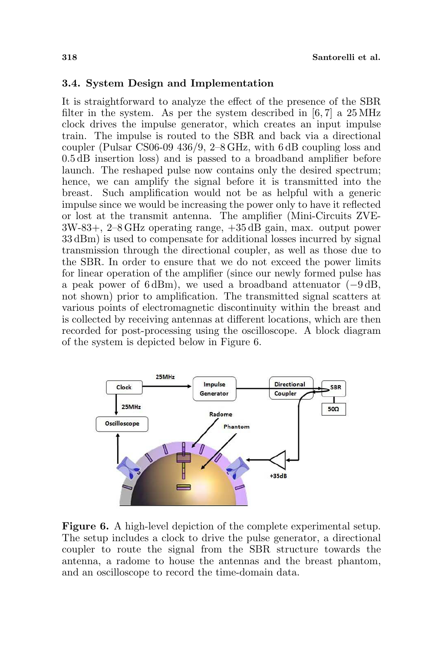#### 3.4. System Design and Implementation

It is straightforward to analyze the effect of the presence of the SBR filter in the system. As per the system described in  $[6, 7]$  a  $25 \text{ MHz}$ clock drives the impulse generator, which creates an input impulse train. The impulse is routed to the SBR and back via a directional coupler (Pulsar CS06-09 436/9, 2–8 GHz, with 6 dB coupling loss and 0.5 dB insertion loss) and is passed to a broadband amplifier before launch. The reshaped pulse now contains only the desired spectrum; hence, we can amplify the signal before it is transmitted into the breast. Such amplification would not be as helpful with a generic impulse since we would be increasing the power only to have it reflected or lost at the transmit antenna. The amplifier (Mini-Circuits ZVE-3W-83+, 2–8 GHz operating range, +35 dB gain, max. output power 33 dBm) is used to compensate for additional losses incurred by signal transmission through the directional coupler, as well as those due to the SBR. In order to ensure that we do not exceed the power limits for linear operation of the amplifier (since our newly formed pulse has a peak power of 6 dBm), we used a broadband attenuator (−9 dB, not shown) prior to amplification. The transmitted signal scatters at various points of electromagnetic discontinuity within the breast and is collected by receiving antennas at different locations, which are then recorded for post-processing using the oscilloscope. A block diagram of the system is depicted below in Figure 6.



Figure 6. A high-level depiction of the complete experimental setup. The setup includes a clock to drive the pulse generator, a directional coupler to route the signal from the SBR structure towards the antenna, a radome to house the antennas and the breast phantom, and an oscilloscope to record the time-domain data.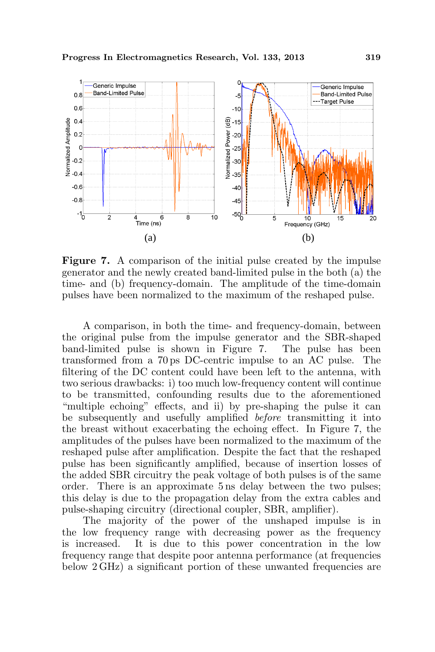

Figure 7. A comparison of the initial pulse created by the impulse generator and the newly created band-limited pulse in the both (a) the time- and (b) frequency-domain. The amplitude of the time-domain pulses have been normalized to the maximum of the reshaped pulse.

A comparison, in both the time- and frequency-domain, between the original pulse from the impulse generator and the SBR-shaped band-limited pulse is shown in Figure 7. The pulse has been transformed from a 70 ps DC-centric impulse to an AC pulse. The filtering of the DC content could have been left to the antenna, with two serious drawbacks: i) too much low-frequency content will continue to be transmitted, confounding results due to the aforementioned "multiple echoing" effects, and ii) by pre-shaping the pulse it can be subsequently and usefully amplified before transmitting it into the breast without exacerbating the echoing effect. In Figure 7, the amplitudes of the pulses have been normalized to the maximum of the reshaped pulse after amplification. Despite the fact that the reshaped pulse has been significantly amplified, because of insertion losses of the added SBR circuitry the peak voltage of both pulses is of the same order. There is an approximate 5 ns delay between the two pulses; this delay is due to the propagation delay from the extra cables and pulse-shaping circuitry (directional coupler, SBR, amplifier).

The majority of the power of the unshaped impulse is in the low frequency range with decreasing power as the frequency is increased. It is due to this power concentration in the low frequency range that despite poor antenna performance (at frequencies below 2 GHz) a significant portion of these unwanted frequencies are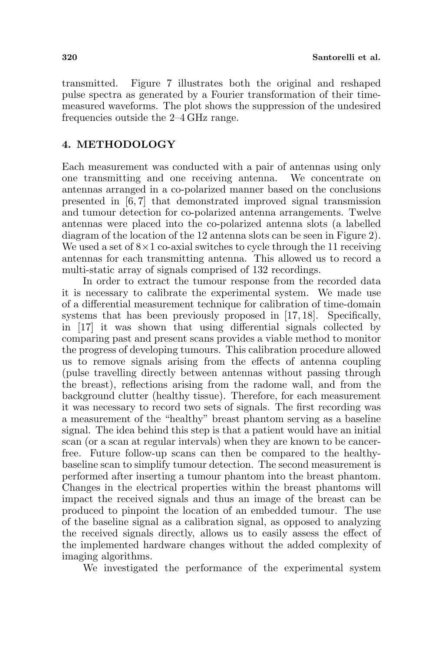transmitted. Figure 7 illustrates both the original and reshaped pulse spectra as generated by a Fourier transformation of their timemeasured waveforms. The plot shows the suppression of the undesired frequencies outside the 2–4 GHz range.

### 4. METHODOLOGY

Each measurement was conducted with a pair of antennas using only one transmitting and one receiving antenna. We concentrate on antennas arranged in a co-polarized manner based on the conclusions presented in [6, 7] that demonstrated improved signal transmission and tumour detection for co-polarized antenna arrangements. Twelve antennas were placed into the co-polarized antenna slots (a labelled diagram of the location of the 12 antenna slots can be seen in Figure 2). We used a set of  $8\times1$  co-axial switches to cycle through the 11 receiving antennas for each transmitting antenna. This allowed us to record a multi-static array of signals comprised of 132 recordings.

In order to extract the tumour response from the recorded data it is necessary to calibrate the experimental system. We made use of a differential measurement technique for calibration of time-domain systems that has been previously proposed in [17, 18]. Specifically, in [17] it was shown that using differential signals collected by comparing past and present scans provides a viable method to monitor the progress of developing tumours. This calibration procedure allowed us to remove signals arising from the effects of antenna coupling (pulse travelling directly between antennas without passing through the breast), reflections arising from the radome wall, and from the background clutter (healthy tissue). Therefore, for each measurement it was necessary to record two sets of signals. The first recording was a measurement of the "healthy" breast phantom serving as a baseline signal. The idea behind this step is that a patient would have an initial scan (or a scan at regular intervals) when they are known to be cancerfree. Future follow-up scans can then be compared to the healthybaseline scan to simplify tumour detection. The second measurement is performed after inserting a tumour phantom into the breast phantom. Changes in the electrical properties within the breast phantoms will impact the received signals and thus an image of the breast can be produced to pinpoint the location of an embedded tumour. The use of the baseline signal as a calibration signal, as opposed to analyzing the received signals directly, allows us to easily assess the effect of the implemented hardware changes without the added complexity of imaging algorithms.

We investigated the performance of the experimental system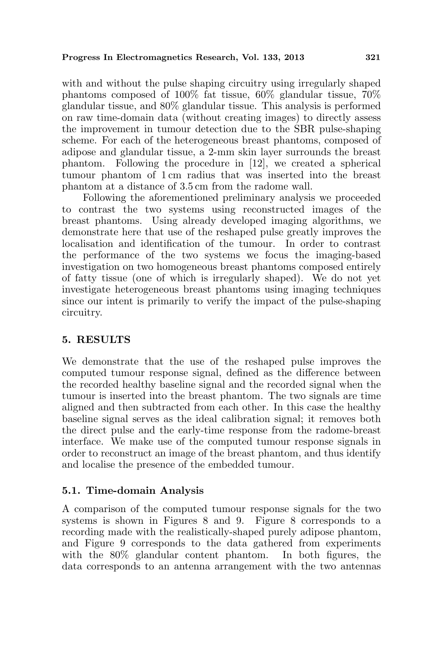with and without the pulse shaping circuitry using irregularly shaped phantoms composed of 100% fat tissue, 60% glandular tissue, 70% glandular tissue, and 80% glandular tissue. This analysis is performed on raw time-domain data (without creating images) to directly assess the improvement in tumour detection due to the SBR pulse-shaping scheme. For each of the heterogeneous breast phantoms, composed of adipose and glandular tissue, a 2-mm skin layer surrounds the breast phantom. Following the procedure in [12], we created a spherical tumour phantom of 1 cm radius that was inserted into the breast phantom at a distance of 3.5 cm from the radome wall.

Following the aforementioned preliminary analysis we proceeded to contrast the two systems using reconstructed images of the breast phantoms. Using already developed imaging algorithms, we demonstrate here that use of the reshaped pulse greatly improves the localisation and identification of the tumour. In order to contrast the performance of the two systems we focus the imaging-based investigation on two homogeneous breast phantoms composed entirely of fatty tissue (one of which is irregularly shaped). We do not yet investigate heterogeneous breast phantoms using imaging techniques since our intent is primarily to verify the impact of the pulse-shaping circuitry.

# 5. RESULTS

We demonstrate that the use of the reshaped pulse improves the computed tumour response signal, defined as the difference between the recorded healthy baseline signal and the recorded signal when the tumour is inserted into the breast phantom. The two signals are time aligned and then subtracted from each other. In this case the healthy baseline signal serves as the ideal calibration signal; it removes both the direct pulse and the early-time response from the radome-breast interface. We make use of the computed tumour response signals in order to reconstruct an image of the breast phantom, and thus identify and localise the presence of the embedded tumour.

# 5.1. Time-domain Analysis

A comparison of the computed tumour response signals for the two systems is shown in Figures 8 and 9. Figure 8 corresponds to a recording made with the realistically-shaped purely adipose phantom, and Figure 9 corresponds to the data gathered from experiments with the 80% glandular content phantom. In both figures, the data corresponds to an antenna arrangement with the two antennas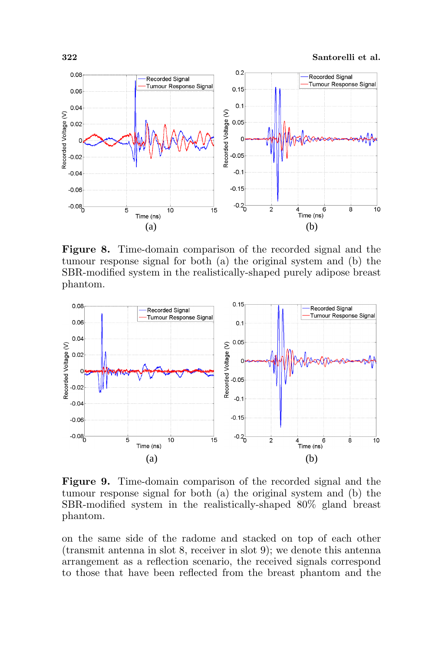

Figure 8. Time-domain comparison of the recorded signal and the tumour response signal for both (a) the original system and (b) the SBR-modified system in the realistically-shaped purely adipose breast phantom.



Figure 9. Time-domain comparison of the recorded signal and the tumour response signal for both (a) the original system and (b) the SBR-modified system in the realistically-shaped 80% gland breast phantom.

on the same side of the radome and stacked on top of each other (transmit antenna in slot 8, receiver in slot 9); we denote this antenna arrangement as a reflection scenario, the received signals correspond to those that have been reflected from the breast phantom and the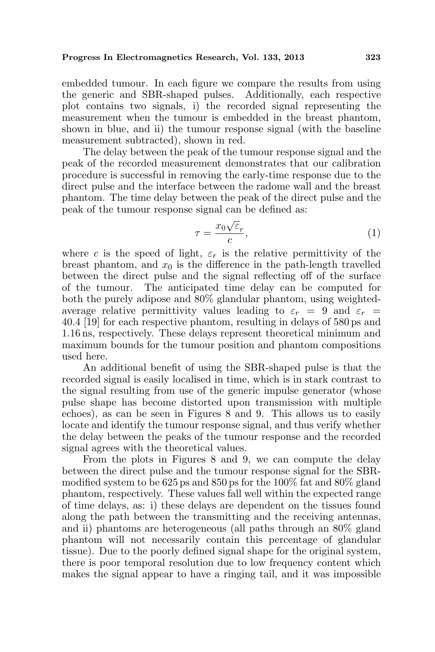embedded tumour. In each figure we compare the results from using the generic and SBR-shaped pulses. Additionally, each respective plot contains two signals, i) the recorded signal representing the measurement when the tumour is embedded in the breast phantom, shown in blue, and ii) the tumour response signal (with the baseline measurement subtracted), shown in red.

The delay between the peak of the tumour response signal and the peak of the recorded measurement demonstrates that our calibration procedure is successful in removing the early-time response due to the direct pulse and the interface between the radome wall and the breast phantom. The time delay between the peak of the direct pulse and the peak of the tumour response signal can be defined as:

$$
\tau = \frac{x_0 \sqrt{\varepsilon_r}}{c},\tag{1}
$$

where c is the speed of light,  $\varepsilon_r$  is the relative permittivity of the breast phantom, and  $x_0$  is the difference in the path-length travelled between the direct pulse and the signal reflecting off of the surface of the tumour. The anticipated time delay can be computed for both the purely adipose and 80% glandular phantom, using weightedaverage relative permittivity values leading to  $\varepsilon_r = 9$  and  $\varepsilon_r = 1$ 40.4 [19] for each respective phantom, resulting in delays of 580 ps and 1.16 ns, respectively. These delays represent theoretical minimum and maximum bounds for the tumour position and phantom compositions used here.

An additional benefit of using the SBR-shaped pulse is that the recorded signal is easily localised in time, which is in stark contrast to the signal resulting from use of the generic impulse generator (whose pulse shape has become distorted upon transmission with multiple echoes), as can be seen in Figures 8 and 9. This allows us to easily locate and identify the tumour response signal, and thus verify whether the delay between the peaks of the tumour response and the recorded signal agrees with the theoretical values.

From the plots in Figures 8 and 9, we can compute the delay between the direct pulse and the tumour response signal for the SBRmodified system to be 625 ps and 850 ps for the  $100\%$  fat and 80% gland phantom, respectively. These values fall well within the expected range of time delays, as: i) these delays are dependent on the tissues found along the path between the transmitting and the receiving antennas, and ii) phantoms are heterogeneous (all paths through an 80% gland phantom will not necessarily contain this percentage of glandular tissue). Due to the poorly defined signal shape for the original system, there is poor temporal resolution due to low frequency content which makes the signal appear to have a ringing tail, and it was impossible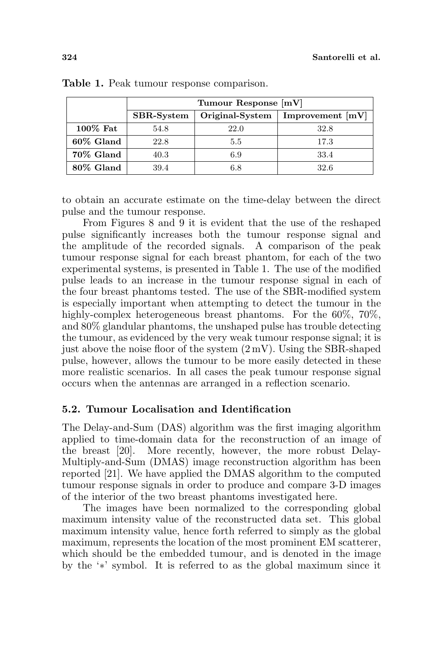|             | Tumour Response [mV] |                 |                  |
|-------------|----------------------|-----------------|------------------|
|             | <b>SBR-System</b>    | Original-System | Improvement [mV] |
| $100\%$ Fat | 54.8                 | 22.0            | 32.8             |
| 60% Gland   | 22.8                 | 5.5             | 17.3             |
| 70% Gland   | 40.3                 | 6.9             | 33.4             |
| 80% Gland   | 39.4                 | 6.8             | 32.6             |

Table 1. Peak tumour response comparison.

to obtain an accurate estimate on the time-delay between the direct pulse and the tumour response.

From Figures 8 and 9 it is evident that the use of the reshaped pulse significantly increases both the tumour response signal and the amplitude of the recorded signals. A comparison of the peak tumour response signal for each breast phantom, for each of the two experimental systems, is presented in Table 1. The use of the modified pulse leads to an increase in the tumour response signal in each of the four breast phantoms tested. The use of the SBR-modified system is especially important when attempting to detect the tumour in the highly-complex heterogeneous breast phantoms. For the 60%, 70%, and 80% glandular phantoms, the unshaped pulse has trouble detecting the tumour, as evidenced by the very weak tumour response signal; it is just above the noise floor of the system  $(2 \text{ mV})$ . Using the SBR-shaped pulse, however, allows the tumour to be more easily detected in these more realistic scenarios. In all cases the peak tumour response signal occurs when the antennas are arranged in a reflection scenario.

### 5.2. Tumour Localisation and Identification

The Delay-and-Sum (DAS) algorithm was the first imaging algorithm applied to time-domain data for the reconstruction of an image of the breast [20]. More recently, however, the more robust Delay-Multiply-and-Sum (DMAS) image reconstruction algorithm has been reported [21]. We have applied the DMAS algorithm to the computed tumour response signals in order to produce and compare 3-D images of the interior of the two breast phantoms investigated here.

The images have been normalized to the corresponding global maximum intensity value of the reconstructed data set. This global maximum intensity value, hence forth referred to simply as the global maximum, represents the location of the most prominent EM scatterer, which should be the embedded tumour, and is denoted in the image by the '∗' symbol. It is referred to as the global maximum since it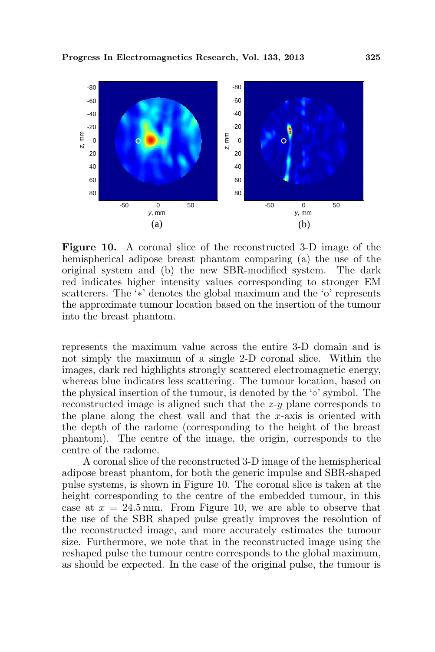

Figure 10. A coronal slice of the reconstructed 3-D image of the hemispherical adipose breast phantom comparing (a) the use of the original system and (b) the new SBR-modified system. The dark red indicates higher intensity values corresponding to stronger EM scatterers. The '∗' denotes the global maximum and the 'o' represents the approximate tumour location based on the insertion of the tumour into the breast phantom.

represents the maximum value across the entire 3-D domain and is not simply the maximum of a single 2-D coronal slice. Within the images, dark red highlights strongly scattered electromagnetic energy, whereas blue indicates less scattering. The tumour location, based on the physical insertion of the tumour, is denoted by the '◦' symbol. The reconstructed image is aligned such that the  $z-y$  plane corresponds to the plane along the chest wall and that the  $x$ -axis is oriented with the depth of the radome (corresponding to the height of the breast phantom). The centre of the image, the origin, corresponds to the centre of the radome.

A coronal slice of the reconstructed 3-D image of the hemispherical adipose breast phantom, for both the generic impulse and SBR-shaped pulse systems, is shown in Figure 10. The coronal slice is taken at the height corresponding to the centre of the embedded tumour, in this case at  $x = 24.5$  mm. From Figure 10, we are able to observe that the use of the SBR shaped pulse greatly improves the resolution of the reconstructed image, and more accurately estimates the tumour size. Furthermore, we note that in the reconstructed image using the reshaped pulse the tumour centre corresponds to the global maximum, as should be expected. In the case of the original pulse, the tumour is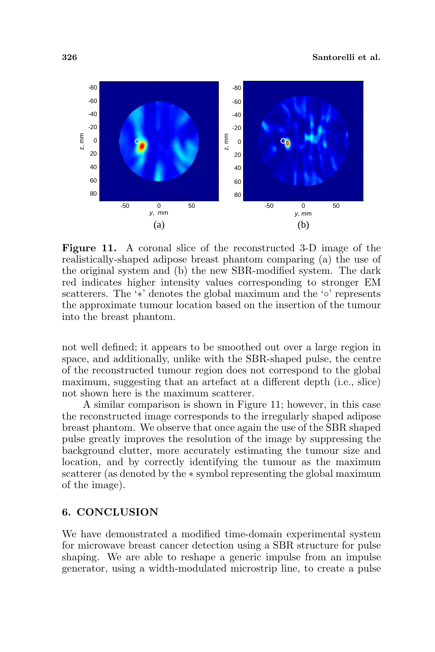

Figure 11. A coronal slice of the reconstructed 3-D image of the realistically-shaped adipose breast phantom comparing (a) the use of the original system and (b) the new SBR-modified system. The dark red indicates higher intensity values corresponding to stronger EM scatterers. The '<sup>\*</sup>' denotes the global maximum and the '∘' represents the approximate tumour location based on the insertion of the tumour into the breast phantom.

not well defined; it appears to be smoothed out over a large region in space, and additionally, unlike with the SBR-shaped pulse, the centre of the reconstructed tumour region does not correspond to the global maximum, suggesting that an artefact at a different depth (i.e., slice) not shown here is the maximum scatterer.

A similar comparison is shown in Figure 11; however, in this case the reconstructed image corresponds to the irregularly shaped adipose breast phantom. We observe that once again the use of the SBR shaped pulse greatly improves the resolution of the image by suppressing the background clutter, more accurately estimating the tumour size and location, and by correctly identifying the tumour as the maximum scatterer (as denoted by the ∗ symbol representing the global maximum of the image).

#### 6. CONCLUSION

We have demonstrated a modified time-domain experimental system for microwave breast cancer detection using a SBR structure for pulse shaping. We are able to reshape a generic impulse from an impulse generator, using a width-modulated microstrip line, to create a pulse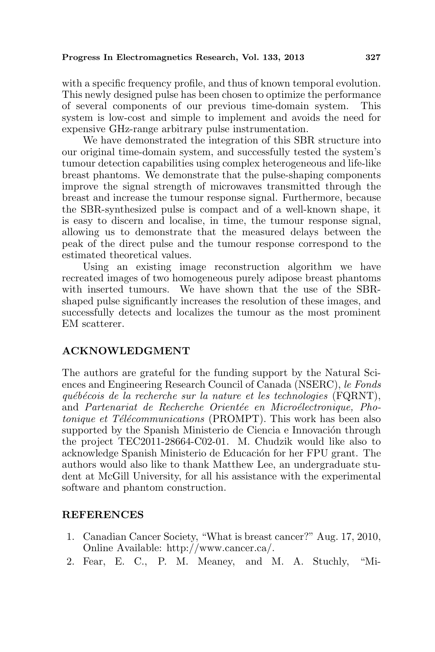#### Progress In Electromagnetics Research, Vol. 133, 2013 327

with a specific frequency profile, and thus of known temporal evolution. This newly designed pulse has been chosen to optimize the performance of several components of our previous time-domain system. This system is low-cost and simple to implement and avoids the need for expensive GHz-range arbitrary pulse instrumentation.

We have demonstrated the integration of this SBR structure into our original time-domain system, and successfully tested the system's tumour detection capabilities using complex heterogeneous and life-like breast phantoms. We demonstrate that the pulse-shaping components improve the signal strength of microwaves transmitted through the breast and increase the tumour response signal. Furthermore, because the SBR-synthesized pulse is compact and of a well-known shape, it is easy to discern and localise, in time, the tumour response signal, allowing us to demonstrate that the measured delays between the peak of the direct pulse and the tumour response correspond to the estimated theoretical values.

Using an existing image reconstruction algorithm we have recreated images of two homogeneous purely adipose breast phantoms with inserted tumours. We have shown that the use of the SBRshaped pulse significantly increases the resolution of these images, and successfully detects and localizes the tumour as the most prominent EM scatterer.

## ACKNOWLEDGMENT

The authors are grateful for the funding support by the Natural Sciences and Engineering Research Council of Canada (NSERC), le Fonds québécois de la recherche sur la nature et les technologies (FQRNT), and Partenariat de Recherche Orientée en Microélectronique, Photonique et  $T\acute{e}l\acute{e}communications$  (PROMPT). This work has been also supported by the Spanish Ministerio de Ciencia e Innovación through the project TEC2011-28664-C02-01. M. Chudzik would like also to acknowledge Spanish Ministerio de Educación for her FPU grant. The authors would also like to thank Matthew Lee, an undergraduate student at McGill University, for all his assistance with the experimental software and phantom construction.

### REFERENCES

- 1. Canadian Cancer Society, "What is breast cancer?" Aug. 17, 2010, Online Available: http://www.cancer.ca/.
- 2. Fear, E. C., P. M. Meaney, and M. A. Stuchly, "Mi-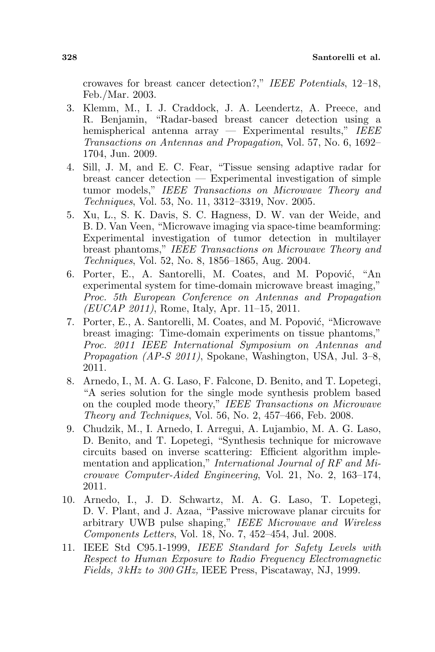crowaves for breast cancer detection?," IEEE Potentials, 12–18, Feb./Mar. 2003.

- 3. Klemm, M., I. J. Craddock, J. A. Leendertz, A. Preece, and R. Benjamin, "Radar-based breast cancer detection using a hemispherical antenna array — Experimental results," IEEE Transactions on Antennas and Propagation, Vol. 57, No. 6, 1692– 1704, Jun. 2009.
- 4. Sill, J. M, and E. C. Fear, "Tissue sensing adaptive radar for breast cancer detection — Experimental investigation of simple tumor models," IEEE Transactions on Microwave Theory and Techniques, Vol. 53, No. 11, 3312–3319, Nov. 2005.
- 5. Xu, L., S. K. Davis, S. C. Hagness, D. W. van der Weide, and B. D. Van Veen, "Microwave imaging via space-time beamforming: Experimental investigation of tumor detection in multilayer breast phantoms," IEEE Transactions on Microwave Theory and Techniques, Vol. 52, No. 8, 1856–1865, Aug. 2004.
- 6. Porter, E., A. Santorelli, M. Coates, and M. Popović, "An experimental system for time-domain microwave breast imaging," Proc. 5th European Conference on Antennas and Propagation (EUCAP 2011), Rome, Italy, Apr. 11–15, 2011.
- 7. Porter, E., A. Santorelli, M. Coates, and M. Popović, "Microwave breast imaging: Time-domain experiments on tissue phantoms," Proc. 2011 IEEE International Symposium on Antennas and Propagation (AP-S 2011), Spokane, Washington, USA, Jul. 3–8, 2011.
- 8. Arnedo, I., M. A. G. Laso, F. Falcone, D. Benito, and T. Lopetegi, "A series solution for the single mode synthesis problem based on the coupled mode theory," IEEE Transactions on Microwave Theory and Techniques, Vol. 56, No. 2, 457–466, Feb. 2008.
- 9. Chudzik, M., I. Arnedo, I. Arregui, A. Lujambio, M. A. G. Laso, D. Benito, and T. Lopetegi, "Synthesis technique for microwave circuits based on inverse scattering: Efficient algorithm implementation and application," International Journal of RF and Microwave Computer-Aided Engineering, Vol. 21, No. 2, 163–174, 2011.
- 10. Arnedo, I., J. D. Schwartz, M. A. G. Laso, T. Lopetegi, D. V. Plant, and J. Azaa, "Passive microwave planar circuits for arbitrary UWB pulse shaping," IEEE Microwave and Wireless Components Letters, Vol. 18, No. 7, 452–454, Jul. 2008.
- 11. IEEE Std C95.1-1999, IEEE Standard for Safety Levels with Respect to Human Exposure to Radio Frequency Electromagnetic Fields, 3 kHz to 300 GHz, IEEE Press, Piscataway, NJ, 1999.